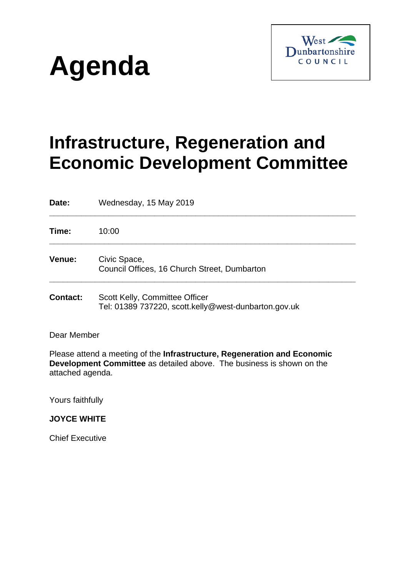



# **Infrastructure, Regeneration and Economic Development Committee**

**Date:** Wednesday, 15 May 2019 **\_\_\_\_\_\_\_\_\_\_\_\_\_\_\_\_\_\_\_\_\_\_\_\_\_\_\_\_\_\_\_\_\_\_\_\_\_\_\_\_\_\_\_\_\_\_\_\_\_\_\_\_\_\_\_\_\_\_\_\_\_\_\_\_\_\_\_**

**Time:** 10:00 **\_\_\_\_\_\_\_\_\_\_\_\_\_\_\_\_\_\_\_\_\_\_\_\_\_\_\_\_\_\_\_\_\_\_\_\_\_\_\_\_\_\_\_\_\_\_\_\_\_\_\_\_\_\_\_\_\_\_\_\_\_\_\_\_\_\_\_ Venue:** Civic Space, Council Offices, 16 Church Street, Dumbarton **\_\_\_\_\_\_\_\_\_\_\_\_\_\_\_\_\_\_\_\_\_\_\_\_\_\_\_\_\_\_\_\_\_\_\_\_\_\_\_\_\_\_\_\_\_\_\_\_\_\_\_\_\_\_\_\_\_\_\_\_\_\_\_\_\_\_\_**

**Contact:** Scott Kelly, Committee Officer Tel: 01389 737220, scott.kelly@west-dunbarton.gov.uk

Dear Member

Please attend a meeting of the **Infrastructure, Regeneration and Economic Development Committee** as detailed above. The business is shown on the attached agenda.

Yours faithfully

**JOYCE WHITE**

Chief Executive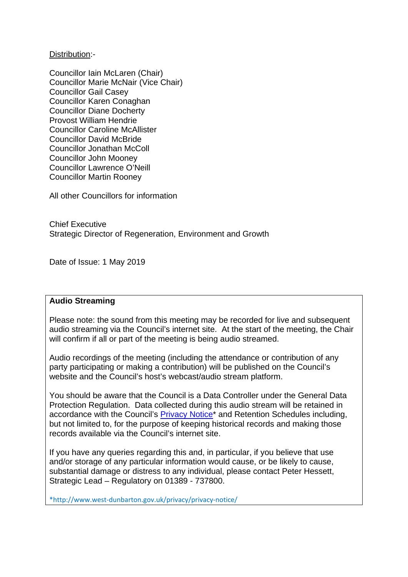Distribution:-

Councillor Iain McLaren (Chair) Councillor Marie McNair (Vice Chair) Councillor Gail Casey Councillor Karen Conaghan Councillor Diane Docherty Provost William Hendrie Councillor Caroline McAllister Councillor David McBride Councillor Jonathan McColl Councillor John Mooney Councillor Lawrence O'Neill Councillor Martin Rooney

All other Councillors for information

Chief Executive Strategic Director of Regeneration, Environment and Growth

Date of Issue: 1 May 2019

# **Audio Streaming**

Please note: the sound from this meeting may be recorded for live and subsequent audio streaming via the Council's internet site. At the start of the meeting, the Chair will confirm if all or part of the meeting is being audio streamed.

Audio recordings of the meeting (including the attendance or contribution of any party participating or making a contribution) will be published on the Council's website and the Council's host's webcast/audio stream platform.

You should be aware that the Council is a Data Controller under the General Data Protection Regulation. Data collected during this audio stream will be retained in accordance with the Council's Privacy Notice<sup>\*</sup> and Retention Schedules including, but not limited to, for the purpose of keeping historical records and making those records available via the Council's internet site.

If you have any queries regarding this and, in particular, if you believe that use and/or storage of any particular information would cause, or be likely to cause, substantial damage or distress to any individual, please contact Peter Hessett, Strategic Lead – Regulatory on 01389 - 737800.

\*http://www.west-dunbarton.gov.uk/privacy/privacy-notice/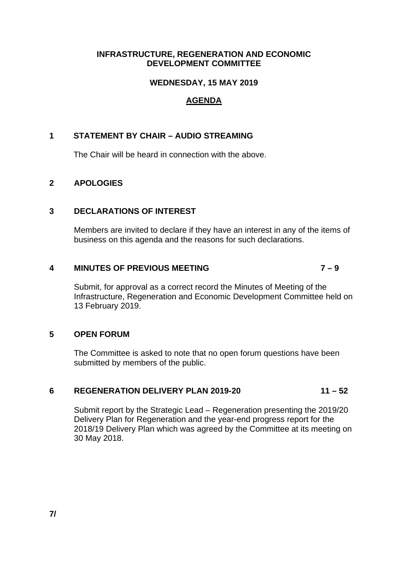#### **INFRASTRUCTURE, REGENERATION AND ECONOMIC DEVELOPMENT COMMITTEE**

# **WEDNESDAY, 15 MAY 2019**

# **AGENDA**

# **1 STATEMENT BY CHAIR – AUDIO STREAMING**

The Chair will be heard in connection with the above.

# **2 APOLOGIES**

#### **3 DECLARATIONS OF INTEREST**

Members are invited to declare if they have an interest in any of the items of business on this agenda and the reasons for such declarations.

#### **4 MINUTES OF PREVIOUS MEETING 7 – 9**

Submit, for approval as a correct record the Minutes of Meeting of the Infrastructure, Regeneration and Economic Development Committee held on 13 February 2019.

# **5 OPEN FORUM**

The Committee is asked to note that no open forum questions have been submitted by members of the public.

# **6 REGENERATION DELIVERY PLAN 2019-20 11 – 52**

Submit report by the Strategic Lead – Regeneration presenting the 2019/20 Delivery Plan for Regeneration and the year-end progress report for the 2018/19 Delivery Plan which was agreed by the Committee at its meeting on 30 May 2018.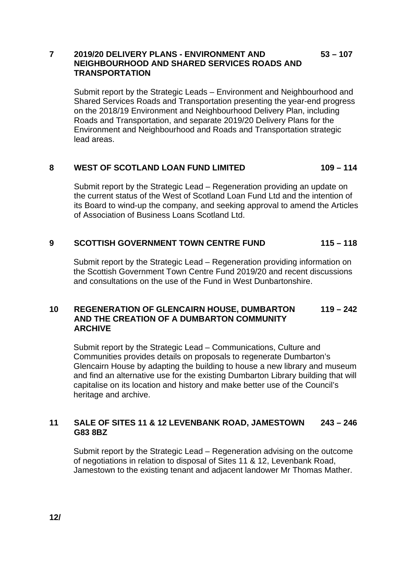# **7 2019/20 DELIVERY PLANS - ENVIRONMENT AND 53 – 107 NEIGHBOURHOOD AND SHARED SERVICES ROADS AND TRANSPORTATION**

Submit report by the Strategic Leads – Environment and Neighbourhood and Shared Services Roads and Transportation presenting the year-end progress on the 2018/19 Environment and Neighbourhood Delivery Plan, including Roads and Transportation, and separate 2019/20 Delivery Plans for the Environment and Neighbourhood and Roads and Transportation strategic lead areas.

# **8 WEST OF SCOTLAND LOAN FUND LIMITED 109 – 114**

Submit report by the Strategic Lead – Regeneration providing an update on the current status of the West of Scotland Loan Fund Ltd and the intention of its Board to wind-up the company, and seeking approval to amend the Articles of Association of Business Loans Scotland Ltd.

# **9 SCOTTISH GOVERNMENT TOWN CENTRE FUND 115 – 118**

Submit report by the Strategic Lead – Regeneration providing information on the Scottish Government Town Centre Fund 2019/20 and recent discussions and consultations on the use of the Fund in West Dunbartonshire.

#### **10 REGENERATION OF GLENCAIRN HOUSE, DUMBARTON 119 – 242 AND THE CREATION OF A DUMBARTON COMMUNITY ARCHIVE**

Submit report by the Strategic Lead – Communications, Culture and Communities provides details on proposals to regenerate Dumbarton's Glencairn House by adapting the building to house a new library and museum and find an alternative use for the existing Dumbarton Library building that will capitalise on its location and history and make better use of the Council's heritage and archive.

# **11 SALE OF SITES 11 & 12 LEVENBANK ROAD, JAMESTOWN 243 – 246 G83 8BZ**

Submit report by the Strategic Lead – Regeneration advising on the outcome of negotiations in relation to disposal of Sites 11 & 12, Levenbank Road, Jamestown to the existing tenant and adjacent landower Mr Thomas Mather.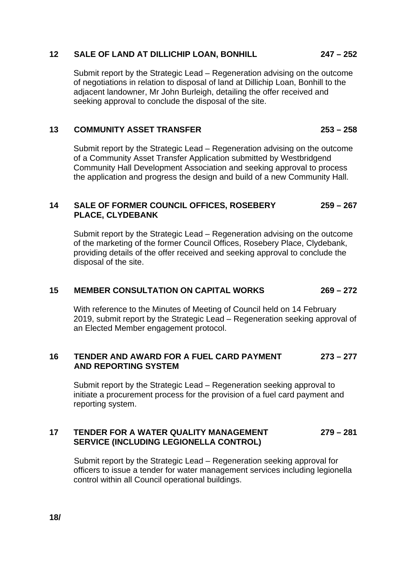#### **12 SALE OF LAND AT DILLICHIP LOAN, BONHILL 247 – 252**

Submit report by the Strategic Lead – Regeneration advising on the outcome of negotiations in relation to disposal of land at Dillichip Loan, Bonhill to the adjacent landowner, Mr John Burleigh, detailing the offer received and seeking approval to conclude the disposal of the site.

#### **13 COMMUNITY ASSET TRANSFER 253 – 258**

Submit report by the Strategic Lead – Regeneration advising on the outcome of a Community Asset Transfer Application submitted by Westbridgend Community Hall Development Association and seeking approval to process the application and progress the design and build of a new Community Hall.

# **14 SALE OF FORMER COUNCIL OFFICES, ROSEBERY 259 – 267 PLACE, CLYDEBANK**

Submit report by the Strategic Lead – Regeneration advising on the outcome of the marketing of the former Council Offices, Rosebery Place, Clydebank, providing details of the offer received and seeking approval to conclude the disposal of the site.

#### **15 MEMBER CONSULTATION ON CAPITAL WORKS 269 – 272**

With reference to the Minutes of Meeting of Council held on 14 February 2019, submit report by the Strategic Lead – Regeneration seeking approval of an Elected Member engagement protocol.

# **16 TENDER AND AWARD FOR A FUEL CARD PAYMENT 273 – 277 AND REPORTING SYSTEM**

Submit report by the Strategic Lead – Regeneration seeking approval to initiate a procurement process for the provision of a fuel card payment and reporting system.

## **17 TENDER FOR A WATER QUALITY MANAGEMENT 279 – 281 SERVICE (INCLUDING LEGIONELLA CONTROL)**

Submit report by the Strategic Lead – Regeneration seeking approval for officers to issue a tender for water management services including legionella control within all Council operational buildings.